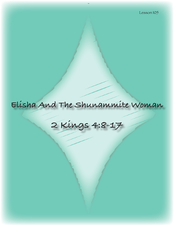# **Elisha And The Shunammite Woman**

**2 Kings 4:8-17**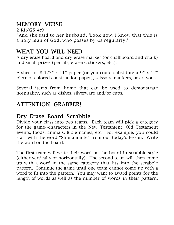# MEMORY VERSE

2 KINGS 4:9

"And she said to her husband, 'Look now, I know that this is a holy man of God, who passes by us regularly.'"

# WHAT YOU WILL NEED:

A dry erase board and dry erase marker (or chalkboard and chalk) and small prizes (pencils, erasers, stickers, etc.).

A sheet of 8 1/2" x 11" paper (or you could substitute a 9" x 12" piece of colored construction paper), scissors, markers, or crayons.

Several items from home that can be used to demonstrate hospitality, such as dishes, silverware and/or cups.

# ATTENTION GRABBER!

# Dry Erase Board Scrabble

Divide your class into two teams. Each team will pick a category for the game--characters in the New Testament, Old Testament events, foods, animals, Bible names, etc. For example, you could start with the word "Shunammite" from our today's lesson. Write the word on the board.

The first team will write their word on the board in scrabble style (either vertically or horizontally). The second team will then come up with a word in the same category that fits into the scrabble pattern. Continue the game until one team cannot come up with a word to fit into the pattern. You may want to award points for the length of words as well as the number of words in their pattern.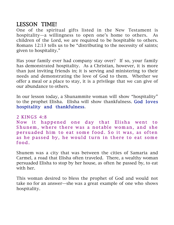## LESSON TIME!

One of the spiritual gifts listed in the New Testament is hospitality—a willingness to open one's home to others. As children of the Lord, we are required to be hospitable to others. Romans 12:13 tells us to be "distributing to the necessity of saints; given to hospitality."

Has your family ever had company stay over? If so, your family has demonstrated hospitality. As a Christian, however, it is more than just inviting friends in; it is serving and ministering to their needs and demonstrating the love of God to them. Whether we offer a meal or a place to stay, it is a privilege that we can give of our abundance to others.

In our lesson today, a Shunammite woman will show "hospitality" to the prophet Elisha. Elisha will show thankfulness. God loves hospitality and thankfulness.

2 KINGS 4:8 Now it happened one day that Elisha went to Shunem, where there was a notable woman, and she per suaded him to eat some food. So it was, as often as he passed by, he would turn in there to eat some food.

Shunem was a city that was between the cities of Samaria and Carmel, a road that Elisha often traveled. There, a wealthy woman persuaded Elisha to stop by her house, as often he passed by, to eat with her.

This woman desired to bless the prophet of God and would not take no for an answer—she was a great example of one who shows hospitality.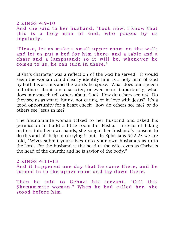2 KINGS 4:9-10 And she said to her husband, "Look now, I know that this is a holy man of God, who passes by us regularly.

"Please, let us make a small upper room on the wall; and let us put a bed for him there, and a table and a chair and a lampstand; so it will be, whenever he comes to us, he can turn in there."

Elisha's character was a reflection of the God he served. It would seem the woman could clearly identify him as a holy man of God by both his actions and the words he spoke. What does our speech tell others about our character; or even more importantly, what does our speech tell others about God? How do others see us? Do they see us as smart, funny, not caring, or in love with Jesus? It's a good opportunity for a heart check: how do others see me? or do others see Jesus in me?

The Shunammite woman talked to her husband and asked his permission to build a little room for Elisha. Instead of taking matters into her own hands, she sought her husband's consent to do this and his help in carrying it out. In Ephesians 5:22-23 we are told, "Wives submit yourselves unto your own husbands as unto the Lord. For the husband is the head of the wife, even as Christ is the head of the church; and he is savior of the body."

#### 2 KINGS 4:11-13

And it happened one day that he came there, and he turned in to the upper room and lay down there.

Then he said to Gehazi his servant, "Call this Shunam mite wom an." When he had called her, she stood before him.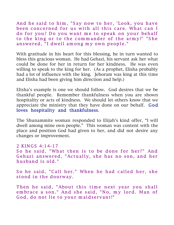And he said to him, "Say now to her, 'Look, you have been concerned for us with all this care. What can I do for you? Do you want me to speak on your behalf to the king or to the commander of the army?' "She answered, "I dwell among my own people."

With gratitude in his heart for this blessing, he in turn wanted to bless this gracious woman. He had Gehazi, his servant ask her what could be done for her in return for her kindness. He was even willing to speak to the king for her. (As a prophet, Elisha probably had a lot of influence with the king. Jehoram was king at this time and Elisha had been giving him direction and help.)

Elisha's example is one we should follow. God desires that we be thankful people. Remember thankfulness when you are shown hospitality or acts of kindness. We should let others know that we appreciate the ministry that they have done on our behalf. God loves hospitality and thankfulness.

The Shunammite woman responded to Elijah's kind offer, "I will dwell among mine own people." This woman was content with the place and position God had given to her, and did not desire any changes or improvement.

#### 2 KINGS 4:14-17 So he said, "What then is to be done for her?" And Gehazi answered, "Actually, she has no son, and her husband is old."

So he said, "Call her." When he had called her, she stood in the doorway.

Then he said, "About this time next year you shall embrace a son." And she said, "No, my lord. Man of God, do not lie to your maidservant!"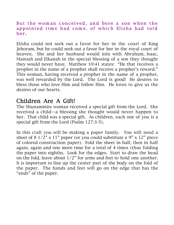#### But the woman conceived, and bore a son when the appointed time had come, of which Elisha had told her .

Elisha could not seek out a favor for her in the court of King Jehoram, but he could seek out a favor for her in the royal court of heaven. She and her husband would join with Abraham, Isaac, Manoah and Elkanah in the special blessing of a son they thought they would never have. Matthew 10:41 states: "He that receives a prophet in the name of a prophet shall receive a prophet's reward." This woman, having received a prophet in the name of a prophet, was well rewarded by the Lord. The Lord is good! He desires to bless those who love Him and follow Him. He loves to give us the desires of our hearts.

## Children Are A Gift!

The Shunammite woman received a special gift from the Lord. She received a child—a blessing she thought would never happen to her. That child was a special gift. As children, each one of you is a special gift from the Lord (Psalm 127:3-5).

In this craft you will be making a paper family. You will need a sheet of  $8 \frac{1}{2}$ " x  $11$ " paper (or you could substitute a  $9$ " x  $12$ " piece of colored construction paper). Fold the sheet in half, then in half again, again and one more time for a total of 4 times (thus folding the paper into eighths. Look for the edges. Start to draw the head on the fold, leave about 1/2" for arms and feet to hold one another. It is important to line up the center part of the body on the fold of the paper. The hands and feet will go on the edge that has the "ends" of the paper.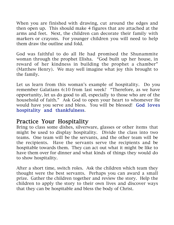When you are finished with drawing, cut around the edges and then open up. This should make 4 figures that are attached at the arms and feet. Next, the children can decorate their family with markers or crayons. For younger children you will need to help them draw the outline and fold.

God was faithful to do all He had promised the Shunammite woman through the prophet Elisha. "God built up her house, in reward of her kindness in building the prophet a chamber" (Matthew Henry). We may well imagine what joy this brought to the family.

Let us learn from this woman's example of hospitality. Do you remember Galatians 6:10 from last week? "Therefore, as we have opportunity, let us do good to all, especially to those who are of the household of faith." Ask God to open your heart to whomever He would have you serve and bless. You will be blessed! God loves hospitality and thankfulness.

# Practice Your Hospitality

Bring to class some dishes, silverware, glasses or other items that might be used to display hospitality. Divide the class into two teams. One team will be the servants, and the other team will be the recipients. Have the servants serve the recipients and be hospitable towards them. They can act out what it might be like to have them over for dinner and what kinds of things they would do to show hospitality.

After a short time, switch roles. Ask the children which team they thought were the best servants. Perhaps you can award a small prize. Gather the children together and review the story. Help the children to apply the story to their own lives and discover ways that they can be hospitable and bless the body of Christ.